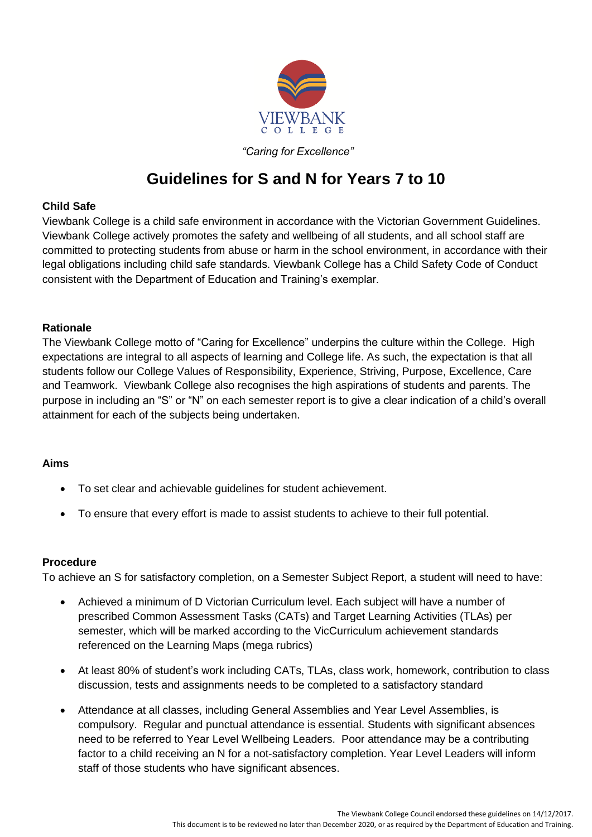

*"Caring for Excellence"*

# **Guidelines for S and N for Years 7 to 10**

### **Child Safe**

Viewbank College is a child safe environment in accordance with the Victorian Government Guidelines. Viewbank College actively promotes the safety and wellbeing of all students, and all school staff are committed to protecting students from abuse or harm in the school environment, in accordance with their legal obligations including child safe standards. Viewbank College has a Child Safety Code of Conduct consistent with the Department of Education and Training's exemplar.

#### **Rationale**

The Viewbank College motto of "Caring for Excellence" underpins the culture within the College. High expectations are integral to all aspects of learning and College life. As such, the expectation is that all students follow our College Values of Responsibility, Experience, Striving, Purpose, Excellence, Care and Teamwork. Viewbank College also recognises the high aspirations of students and parents. The purpose in including an "S" or "N" on each semester report is to give a clear indication of a child's overall attainment for each of the subjects being undertaken.

## **Aims**

- To set clear and achievable guidelines for student achievement.
- To ensure that every effort is made to assist students to achieve to their full potential.

#### **Procedure**

To achieve an S for satisfactory completion, on a Semester Subject Report, a student will need to have:

- Achieved a minimum of D Victorian Curriculum level. Each subject will have a number of prescribed Common Assessment Tasks (CATs) and Target Learning Activities (TLAs) per semester, which will be marked according to the VicCurriculum achievement standards referenced on the Learning Maps (mega rubrics)
- At least 80% of student's work including CATs, TLAs, class work, homework, contribution to class discussion, tests and assignments needs to be completed to a satisfactory standard
- Attendance at all classes, including General Assemblies and Year Level Assemblies, is compulsory. Regular and punctual attendance is essential. Students with significant absences need to be referred to Year Level Wellbeing Leaders. Poor attendance may be a contributing factor to a child receiving an N for a not-satisfactory completion. Year Level Leaders will inform staff of those students who have significant absences.